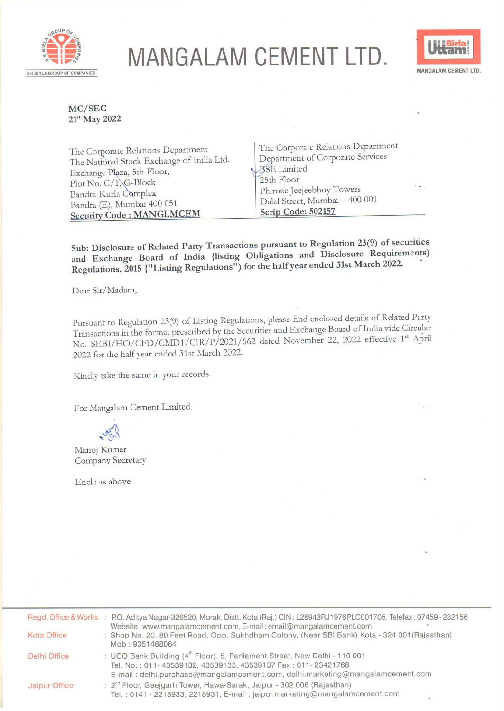

## **MANGALAM CEMENT LTD.** BK BIRLA GROUP OF COMPANIES **MANGALAM CEMENT LTD**



**MC/SEC 2t5-' May 2022** 

| The Corporate Relations Department<br>The National Stock Exchange of India Ltd.<br>Exchange Plaza, 5th Floor,<br>Plot No. C/1, G-Block<br>Bandra-Kurla Complex | The Corporate Relations Department<br>Department of Corporate Services<br>BSE Limited<br>25th Floor<br>Phiroze Jeejeebhoy Towers | $\sim$ $\sim$ . |
|----------------------------------------------------------------------------------------------------------------------------------------------------------------|----------------------------------------------------------------------------------------------------------------------------------|-----------------|
| Bandra (E), Mumbai 400 051                                                                                                                                     | <sup>1</sup> Dalal Street, Mumbai - 400 001                                                                                      |                 |
| <b>Security Code: MANGLMCEM</b>                                                                                                                                | Scrip Code: 502157                                                                                                               |                 |

**Sub: Disclosure of Related Party Transactions pursuant to Regulation 23(9) of securities and Exchange Board of India {listing Obligations and Disclosure Requirements) Regulations, 2015 {"Listing Regulations") for the half year ended 31st March 2022.** ·

Dear Sir/Madam,

Pursuant to Regulation 23(9) of Listing Regulations, please find enclosed details of Related Party Transactions in the format prescribed by the Securities and Exchange Board of India vide Circular No. SEBI/HO/CFD/CMD1/CIR/P/2021/662 dated November 22, 2022 effective 1<sup>st</sup> April 2022 for the half year ended 31st March 2022.

Kindly take the same in your records.

For Mangalam Cement Limited

Manoj Kumar Company Secretary

Encl.: as above

|                      | Regd. Office & Works : P.O. Aditya Nagar-326520, Morak, Distt. Kota (Raj.) CIN: L26943RJ1976PLC001705, Telefax: 07459-232156                                                                                                            |
|----------------------|-----------------------------------------------------------------------------------------------------------------------------------------------------------------------------------------------------------------------------------------|
| Kota Office          | Website: www.mangalamcement.com, E-mail: email@mangalamcement.com<br>: Shop No. 20, 80 Feet Road, Opp. Sukhdham Colony, (Near SBI Bank) Kota - 324 001 (Rajasthan)<br>Mob: 9351468064                                                   |
| Delhi Office         | : UCO Bank Building (4 <sup>th</sup> Floor), 5, Parliament Street, New Delhi - 110 001<br>Tel. No.: 011-43539132, 43539133, 43539137 Fax: 011-23421768<br>E-mail: delhi.purchase@mangalamcement.com, delhi.marketing@mangalamcement.com |
| <b>Jaipur Office</b> | : 2 <sup>nd</sup> Floor, Geejgarh Tower, Hawa-Sarak, Jaipur - 302 006 (Rajasthan)<br>Tel.: 0141 - 2218933, 2218931, E-mail: jaipur.marketing@mangalamcement.com                                                                         |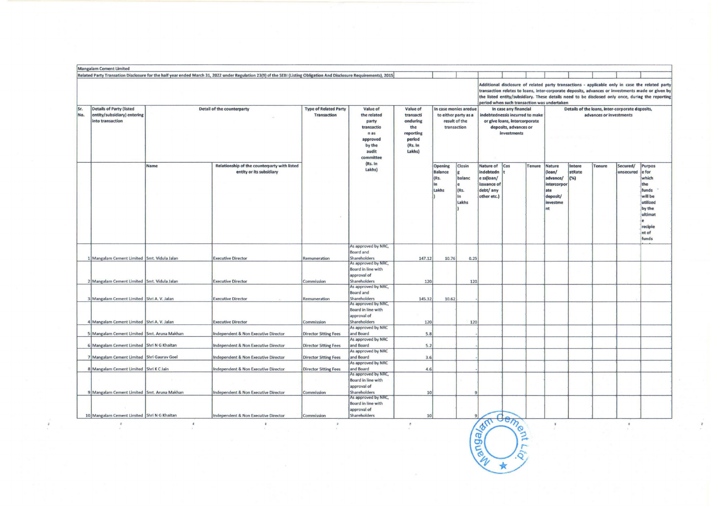|                                                                                    |                                   | Related Party Transation Disclosure for the half year ended March 31, 2022 under Regulation 23(9) of the SEBI (Listing Obligation And Disclosure Requirements), 2015 |                                                    |                                                                                                    |                                                                                      |                                                                               |      |                                                                                                                                   |                                              |                                                                                        | period when such transaction was undertaken                                |               | Additional disclosure of related party transactions - applicable only in case the related party<br>transaction relates to loans, inter-corporate deposits, advances or investments made or given by<br>the listed entity/subsidiary. These details need to be disclosed only once, during the reporting |                                  |               |                       |                                                                                                                          |
|------------------------------------------------------------------------------------|-----------------------------------|----------------------------------------------------------------------------------------------------------------------------------------------------------------------|----------------------------------------------------|----------------------------------------------------------------------------------------------------|--------------------------------------------------------------------------------------|-------------------------------------------------------------------------------|------|-----------------------------------------------------------------------------------------------------------------------------------|----------------------------------------------|----------------------------------------------------------------------------------------|----------------------------------------------------------------------------|---------------|---------------------------------------------------------------------------------------------------------------------------------------------------------------------------------------------------------------------------------------------------------------------------------------------------------|----------------------------------|---------------|-----------------------|--------------------------------------------------------------------------------------------------------------------------|
| <b>Details of Party (listed</b><br>entity/subsidiary) entering<br>into transaction | <b>Detail of the counterparty</b> |                                                                                                                                                                      | <b>Type of Related Party</b><br><b>Transaction</b> | Value of<br>the related<br>party<br>transactio<br>n as<br>approved<br>by the<br>audit<br>committee | Value of<br>transacti<br>onduring<br>the<br>reporting<br>period<br>(Rs. In<br>Lakhs) | In case monies aredue<br>to either party as a<br>result of the<br>transaction |      | In case any financial<br>indebtednessis incurred to make<br>or give loans, intercorporate<br>deposits, advances or<br>investments |                                              |                                                                                        | Details of the loans, inter-corporate deposits,<br>advances or investments |               |                                                                                                                                                                                                                                                                                                         |                                  |               |                       |                                                                                                                          |
|                                                                                    | Name                              | Relationship of the counterparty with listed<br>entity or its subsidiary                                                                                             |                                                    |                                                                                                    |                                                                                      | (Rs. In<br>Lakhs)                                                             |      | <b>Opening</b><br><b>Balance</b><br>(Rs.<br>In<br>Lakhs                                                                           | Closin<br>balanc<br>e<br>(Rs.<br>In<br>Lakhs | <b>Nature of</b><br>indebtedn<br>e ss(loan/<br>issuance of<br>debt/ any<br>other etc.) | Cos                                                                        | <b>Tenure</b> | <b>Nature</b><br>(loan/<br>advance/<br>intercorpo<br>ate<br>deposit/<br>investme<br>nt                                                                                                                                                                                                                  | <b>Intere</b><br>stRate<br>$(*)$ | <b>Tenure</b> | Secured/<br>unsecured | <b>Purpos</b><br>e for<br>which<br>the<br>funds<br>will be<br>utilized<br>by the<br>ultimat<br>recipie<br>nt of<br>funds |
|                                                                                    |                                   |                                                                                                                                                                      |                                                    | As approved by NRC,<br><b>Board and</b>                                                            |                                                                                      |                                                                               |      |                                                                                                                                   |                                              |                                                                                        |                                                                            |               |                                                                                                                                                                                                                                                                                                         |                                  |               |                       |                                                                                                                          |
| 1 Mangalam Cement Limited Smt. Vidula Jalan                                        |                                   | <b>Executive Director</b>                                                                                                                                            | Remuneration                                       | Shareholders<br>As approved by NRC,                                                                | 147.12                                                                               | 10.76                                                                         | 0.25 |                                                                                                                                   |                                              |                                                                                        |                                                                            |               |                                                                                                                                                                                                                                                                                                         |                                  |               |                       |                                                                                                                          |
| 2 Mangalam Cement Limited Smt. Vidula Jalan                                        |                                   | <b>Executive Director</b>                                                                                                                                            | Commission                                         | Board in line with<br>approval of<br>Shareholders<br>As approved by NRC,                           | 120                                                                                  |                                                                               | 120  |                                                                                                                                   |                                              |                                                                                        |                                                                            |               |                                                                                                                                                                                                                                                                                                         |                                  |               |                       |                                                                                                                          |
| 3 Mangalam Cement Limited Shri A. V. Jalan                                         |                                   | <b>Executive Director</b>                                                                                                                                            |                                                    | <b>Board and</b><br>Shareholders                                                                   | 145.32                                                                               |                                                                               |      |                                                                                                                                   |                                              |                                                                                        |                                                                            |               |                                                                                                                                                                                                                                                                                                         |                                  |               |                       |                                                                                                                          |
|                                                                                    |                                   |                                                                                                                                                                      | Remuneration                                       | As approved by NRC,<br><b>Board in line with</b><br>approval of                                    |                                                                                      | 10.62                                                                         |      |                                                                                                                                   |                                              |                                                                                        |                                                                            |               |                                                                                                                                                                                                                                                                                                         |                                  |               |                       |                                                                                                                          |
| 4 Mangalam Cement Limited Shri A. V. Jalan                                         |                                   | <b>Executive Director</b>                                                                                                                                            | Commission                                         | <b>Shareholders</b><br>As approved by NRC                                                          | 120                                                                                  |                                                                               | 120  |                                                                                                                                   |                                              |                                                                                        |                                                                            |               |                                                                                                                                                                                                                                                                                                         |                                  |               |                       |                                                                                                                          |
| 5 Mangalam Cement Limited Smt. Aruna Makhan                                        |                                   | <b>Independent &amp; Non Executive Director</b>                                                                                                                      | <b>Director Sitting Fees</b>                       | and Board                                                                                          | 5.8                                                                                  |                                                                               |      |                                                                                                                                   |                                              |                                                                                        |                                                                            |               |                                                                                                                                                                                                                                                                                                         |                                  |               |                       |                                                                                                                          |
| 6 Mangalam Cement Limited Shri N G Khaitan                                         |                                   | <b>Independent &amp; Non Executive Director</b>                                                                                                                      | <b>Director Sitting Fees</b>                       | As approved by NRC<br>and Board                                                                    | 5.2                                                                                  |                                                                               |      |                                                                                                                                   |                                              |                                                                                        |                                                                            |               |                                                                                                                                                                                                                                                                                                         |                                  |               |                       |                                                                                                                          |
| 7 Mangalam Cement Limited Shri Gaurav Goel                                         |                                   | <b>Independent &amp; Non Executive Director</b>                                                                                                                      | <b>Director Sitting Fees</b>                       | As approved by NRC<br>and Board                                                                    | 3.6                                                                                  |                                                                               |      |                                                                                                                                   |                                              |                                                                                        |                                                                            |               |                                                                                                                                                                                                                                                                                                         |                                  |               |                       |                                                                                                                          |
| 8 Mangalam Cement Limited Shri K C Jain                                            |                                   | <b>Independent &amp; Non Executive Director</b>                                                                                                                      | <b>Director Sitting Fees</b>                       | As approved by NRC<br>and Board                                                                    | 4.6                                                                                  |                                                                               |      |                                                                                                                                   |                                              |                                                                                        |                                                                            |               |                                                                                                                                                                                                                                                                                                         |                                  |               |                       |                                                                                                                          |
|                                                                                    |                                   |                                                                                                                                                                      |                                                    | As approved by NRC,<br><b>Board in line with</b><br>approval of                                    |                                                                                      |                                                                               |      |                                                                                                                                   |                                              |                                                                                        |                                                                            |               |                                                                                                                                                                                                                                                                                                         |                                  |               |                       |                                                                                                                          |
| 9 Mangalam Cement Limited Smt. Aruna Makhan                                        |                                   | <b>Independent &amp; Non Executive Director</b>                                                                                                                      | Commission                                         | Shareholders<br>As approved by NRC,<br><b>Board in line with</b>                                   | 10                                                                                   |                                                                               | q    |                                                                                                                                   |                                              |                                                                                        |                                                                            |               |                                                                                                                                                                                                                                                                                                         |                                  |               |                       |                                                                                                                          |
| 10. Mangalam Cement Limited Shri N G Khaitan                                       |                                   | <b>Independent &amp; Non Executive Director</b>                                                                                                                      | Commission                                         | approval of<br>Shareholders                                                                        | 10 <sup>1</sup>                                                                      |                                                                               |      | <b>OFFIT</b>                                                                                                                      | $\frac{d_{em}}{d_{em}}$                      |                                                                                        |                                                                            |               |                                                                                                                                                                                                                                                                                                         |                                  |               |                       |                                                                                                                          |

Congalac